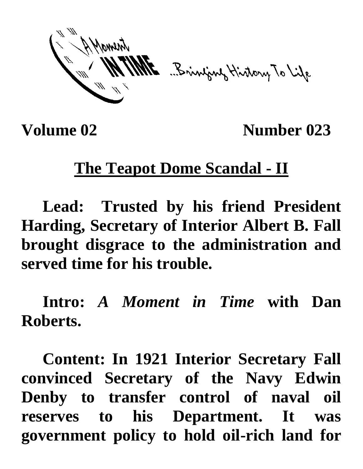ME Brinjang History To Life

**Volume 02** Number 023

## **The Teapot Dome Scandal - II**

**Lead: Trusted by his friend President Harding, Secretary of Interior Albert B. Fall brought disgrace to the administration and served time for his trouble.**

**Intro:** *A Moment in Time* **with Dan Roberts.**

**Content: In 1921 Interior Secretary Fall convinced Secretary of the Navy Edwin Denby to transfer control of naval oil reserves to his Department. It was government policy to hold oil-rich land for**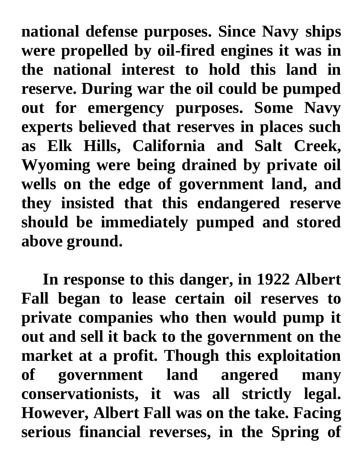**national defense purposes. Since Navy ships were propelled by oil-fired engines it was in the national interest to hold this land in reserve. During war the oil could be pumped out for emergency purposes. Some Navy experts believed that reserves in places such as Elk Hills, California and Salt Creek, Wyoming were being drained by private oil wells on the edge of government land, and they insisted that this endangered reserve should be immediately pumped and stored above ground.**

**In response to this danger, in 1922 Albert Fall began to lease certain oil reserves to private companies who then would pump it out and sell it back to the government on the market at a profit. Though this exploitation of government land angered many conservationists, it was all strictly legal. However, Albert Fall was on the take. Facing serious financial reverses, in the Spring of**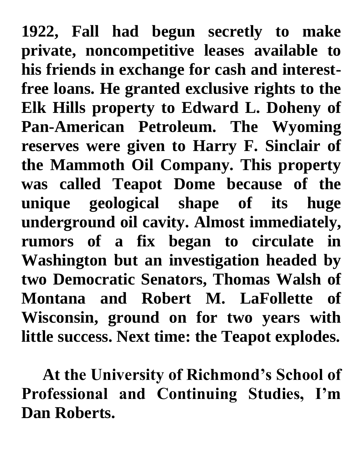**1922, Fall had begun secretly to make private, noncompetitive leases available to his friends in exchange for cash and interestfree loans. He granted exclusive rights to the Elk Hills property to Edward L. Doheny of Pan-American Petroleum. The Wyoming reserves were given to Harry F. Sinclair of the Mammoth Oil Company. This property was called Teapot Dome because of the unique geological shape of its huge underground oil cavity. Almost immediately, rumors of a fix began to circulate in Washington but an investigation headed by two Democratic Senators, Thomas Walsh of Montana and Robert M. LaFollette of Wisconsin, ground on for two years with little success. Next time: the Teapot explodes.** 

**At the University of Richmond's School of Professional and Continuing Studies, I'm Dan Roberts.**